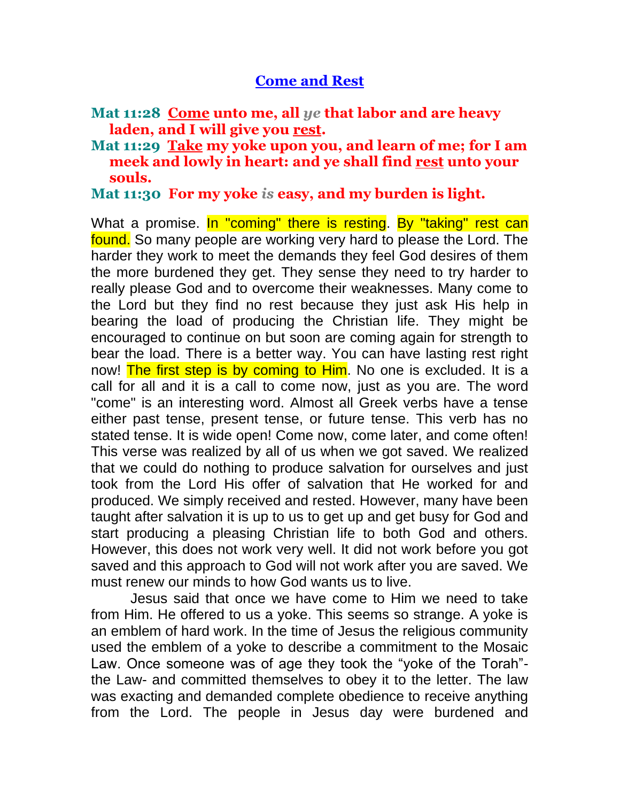## **Come and Rest**

## **Mat 11:28 Come unto me, all** *ye* **that labor and are heavy laden, and I will give you rest.**

**Mat 11:29 Take my yoke upon you, and learn of me; for I am meek and lowly in heart: and ye shall find rest unto your souls.**

## **Mat 11:30 For my yoke** *is* **easy, and my burden is light.**

What a promise. In "coming" there is resting. By "taking" rest can found. So many people are working very hard to please the Lord. The harder they work to meet the demands they feel God desires of them the more burdened they get. They sense they need to try harder to really please God and to overcome their weaknesses. Many come to the Lord but they find no rest because they just ask His help in bearing the load of producing the Christian life. They might be encouraged to continue on but soon are coming again for strength to bear the load. There is a better way. You can have lasting rest right now! The first step is by coming to Him. No one is excluded. It is a call for all and it is a call to come now, just as you are. The word "come" is an interesting word. Almost all Greek verbs have a tense either past tense, present tense, or future tense. This verb has no stated tense. It is wide open! Come now, come later, and come often! This verse was realized by all of us when we got saved. We realized that we could do nothing to produce salvation for ourselves and just took from the Lord His offer of salvation that He worked for and produced. We simply received and rested. However, many have been taught after salvation it is up to us to get up and get busy for God and start producing a pleasing Christian life to both God and others. However, this does not work very well. It did not work before you got saved and this approach to God will not work after you are saved. We must renew our minds to how God wants us to live.

 Jesus said that once we have come to Him we need to take from Him. He offered to us a yoke. This seems so strange. A yoke is an emblem of hard work. In the time of Jesus the religious community used the emblem of a yoke to describe a commitment to the Mosaic Law. Once someone was of age they took the "yoke of the Torah" the Law- and committed themselves to obey it to the letter. The law was exacting and demanded complete obedience to receive anything from the Lord. The people in Jesus day were burdened and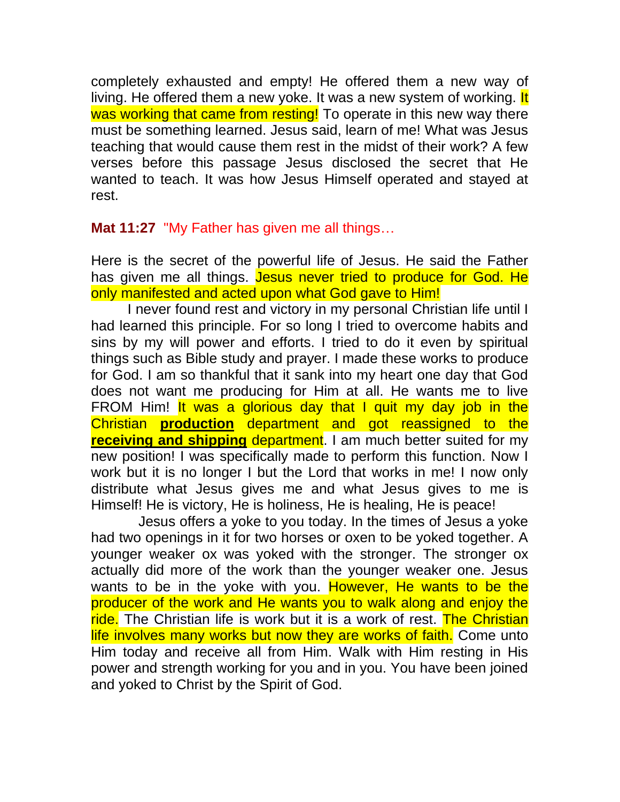completely exhausted and empty! He offered them a new way of living. He offered them a new yoke. It was a new system of working. It was working that came from resting! To operate in this new way there must be something learned. Jesus said, learn of me! What was Jesus teaching that would cause them rest in the midst of their work? A few verses before this passage Jesus disclosed the secret that He wanted to teach. It was how Jesus Himself operated and stayed at rest.

## **Mat 11:27** "My Father has given me all things…

Here is the secret of the powerful life of Jesus. He said the Father has given me all things. Jesus never tried to produce for God. He only manifested and acted upon what God gave to Him!

I never found rest and victory in my personal Christian life until I had learned this principle. For so long I tried to overcome habits and sins by my will power and efforts. I tried to do it even by spiritual things such as Bible study and prayer. I made these works to produce for God. I am so thankful that it sank into my heart one day that God does not want me producing for Him at all. He wants me to live FROM Him! It was a glorious day that I quit my day job in the Christian **production** department and got reassigned to the **receiving and shipping** department. I am much better suited for my new position! I was specifically made to perform this function. Now I work but it is no longer I but the Lord that works in me! I now only distribute what Jesus gives me and what Jesus gives to me is Himself! He is victory, He is holiness, He is healing, He is peace!

 Jesus offers a yoke to you today. In the times of Jesus a yoke had two openings in it for two horses or oxen to be yoked together. A younger weaker ox was yoked with the stronger. The stronger ox actually did more of the work than the younger weaker one. Jesus wants to be in the yoke with you. However, He wants to be the producer of the work and He wants you to walk along and enjoy the ride. The Christian life is work but it is a work of rest. The Christian life involves many works but now they are works of faith. Come unto Him today and receive all from Him. Walk with Him resting in His power and strength working for you and in you. You have been joined and yoked to Christ by the Spirit of God.